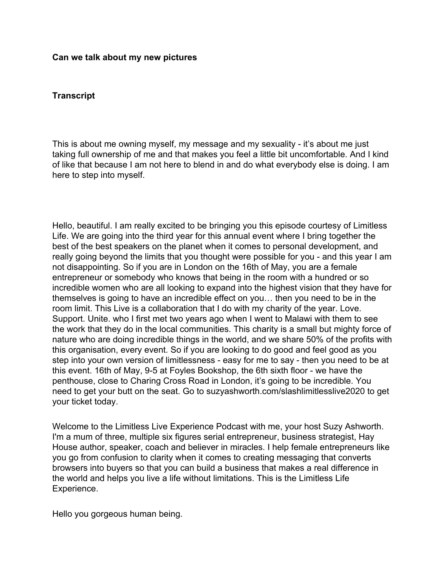## **Can we talk about my new pictures**

## **Transcript**

This is about me owning myself, my message and my sexuality - it's about me just taking full ownership of me and that makes you feel a little bit uncomfortable. And I kind of like that because I am not here to blend in and do what everybody else is doing. I am here to step into myself.

Hello, beautiful. I am really excited to be bringing you this episode courtesy of Limitless Life. We are going into the third year for this annual event where I bring together the best of the best speakers on the planet when it comes to personal development, and really going beyond the limits that you thought were possible for you - and this year I am not disappointing. So if you are in London on the 16th of May, you are a female entrepreneur or somebody who knows that being in the room with a hundred or so incredible women who are all looking to expand into the highest vision that they have for themselves is going to have an incredible effect on you… then you need to be in the room limit. This Live is a collaboration that I do with my charity of the year. Love. Support. Unite. who I first met two years ago when I went to Malawi with them to see the work that they do in the local communities. This charity is a small but mighty force of nature who are doing incredible things in the world, and we share 50% of the profits with this organisation, every event. So if you are looking to do good and feel good as you step into your own version of limitlessness - easy for me to say - then you need to be at this event. 16th of May, 9-5 at Foyles Bookshop, the 6th sixth floor - we have the penthouse, close to Charing Cross Road in London, it's going to be incredible. You need to get your butt on the seat. Go to suzyashworth.com/slashlimitlesslive2020 to get your ticket today.

Welcome to the Limitless Live Experience Podcast with me, your host Suzy Ashworth. I'm a mum of three, multiple six figures serial entrepreneur, business strategist, Hay House author, speaker, coach and believer in miracles. I help female entrepreneurs like you go from confusion to clarity when it comes to creating messaging that converts browsers into buyers so that you can build a business that makes a real difference in the world and helps you live a life without limitations. This is the Limitless Life Experience.

Hello you gorgeous human being.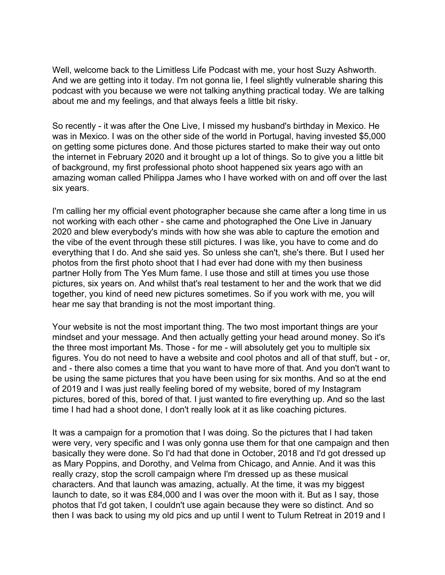Well, welcome back to the Limitless Life Podcast with me, your host Suzy Ashworth. And we are getting into it today. I'm not gonna lie, I feel slightly vulnerable sharing this podcast with you because we were not talking anything practical today. We are talking about me and my feelings, and that always feels a little bit risky.

So recently - it was after the One Live, I missed my husband's birthday in Mexico. He was in Mexico. I was on the other side of the world in Portugal, having invested \$5,000 on getting some pictures done. And those pictures started to make their way out onto the internet in February 2020 and it brought up a lot of things. So to give you a little bit of background, my first professional photo shoot happened six years ago with an amazing woman called Philippa James who I have worked with on and off over the last six years.

I'm calling her my official event photographer because she came after a long time in us not working with each other - she came and photographed the One Live in January 2020 and blew everybody's minds with how she was able to capture the emotion and the vibe of the event through these still pictures. I was like, you have to come and do everything that I do. And she said yes. So unless she can't, she's there. But I used her photos from the first photo shoot that I had ever had done with my then business partner Holly from The Yes Mum fame. I use those and still at times you use those pictures, six years on. And whilst that's real testament to her and the work that we did together, you kind of need new pictures sometimes. So if you work with me, you will hear me say that branding is not the most important thing.

Your website is not the most important thing. The two most important things are your mindset and your message. And then actually getting your head around money. So it's the three most important Ms. Those - for me - will absolutely get you to multiple six figures. You do not need to have a website and cool photos and all of that stuff, but - or, and - there also comes a time that you want to have more of that. And you don't want to be using the same pictures that you have been using for six months. And so at the end of 2019 and I was just really feeling bored of my website, bored of my Instagram pictures, bored of this, bored of that. I just wanted to fire everything up. And so the last time I had had a shoot done, I don't really look at it as like coaching pictures.

It was a campaign for a promotion that I was doing. So the pictures that I had taken were very, very specific and I was only gonna use them for that one campaign and then basically they were done. So I'd had that done in October, 2018 and I'd got dressed up as Mary Poppins, and Dorothy, and Velma from Chicago, and Annie. And it was this really crazy, stop the scroll campaign where I'm dressed up as these musical characters. And that launch was amazing, actually. At the time, it was my biggest launch to date, so it was £84,000 and I was over the moon with it. But as I say, those photos that I'd got taken, I couldn't use again because they were so distinct. And so then I was back to using my old pics and up until I went to Tulum Retreat in 2019 and I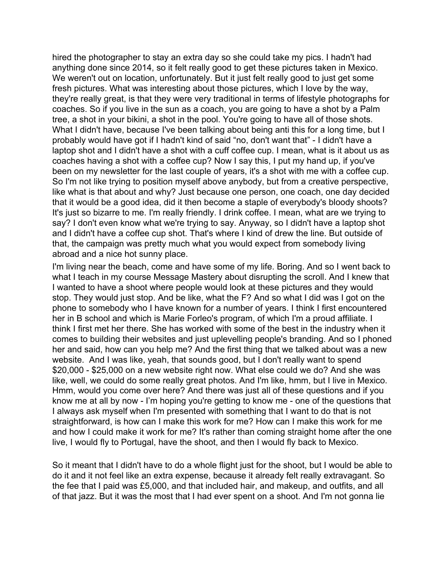hired the photographer to stay an extra day so she could take my pics. I hadn't had anything done since 2014, so it felt really good to get these pictures taken in Mexico. We weren't out on location, unfortunately. But it just felt really good to just get some fresh pictures. What was interesting about those pictures, which I love by the way, they're really great, is that they were very traditional in terms of lifestyle photographs for coaches. So if you live in the sun as a coach, you are going to have a shot by a Palm tree, a shot in your bikini, a shot in the pool. You're going to have all of those shots. What I didn't have, because I've been talking about being anti this for a long time, but I probably would have got if I hadn't kind of said "no, don't want that" - I didn't have a laptop shot and I didn't have a shot with a cuff coffee cup. I mean, what is it about us as coaches having a shot with a coffee cup? Now I say this, I put my hand up, if you've been on my newsletter for the last couple of years, it's a shot with me with a coffee cup. So I'm not like trying to position myself above anybody, but from a creative perspective, like what is that about and why? Just because one person, one coach, one day decided that it would be a good idea, did it then become a staple of everybody's bloody shoots? It's just so bizarre to me. I'm really friendly. I drink coffee. I mean, what are we trying to say? I don't even know what we're trying to say. Anyway, so I didn't have a laptop shot and I didn't have a coffee cup shot. That's where I kind of drew the line. But outside of that, the campaign was pretty much what you would expect from somebody living abroad and a nice hot sunny place.

I'm living near the beach, come and have some of my life. Boring. And so I went back to what I teach in my course Message Mastery about disrupting the scroll. And I knew that I wanted to have a shoot where people would look at these pictures and they would stop. They would just stop. And be like, what the F? And so what I did was I got on the phone to somebody who I have known for a number of years. I think I first encountered her in B school and which is Marie Forleo's program, of which I'm a proud affiliate. I think I first met her there. She has worked with some of the best in the industry when it comes to building their websites and just uplevelling people's branding. And so I phoned her and said, how can you help me? And the first thing that we talked about was a new website. And I was like, yeah, that sounds good, but I don't really want to spend \$20,000 - \$25,000 on a new website right now. What else could we do? And she was like, well, we could do some really great photos. And I'm like, hmm, but I live in Mexico. Hmm, would you come over here? And there was just all of these questions and if you know me at all by now - I'm hoping you're getting to know me - one of the questions that I always ask myself when I'm presented with something that I want to do that is not straightforward, is how can I make this work for me? How can I make this work for me and how I could make it work for me? It's rather than coming straight home after the one live, I would fly to Portugal, have the shoot, and then I would fly back to Mexico.

So it meant that I didn't have to do a whole flight just for the shoot, but I would be able to do it and it not feel like an extra expense, because it already felt really extravagant. So the fee that I paid was £5,000, and that included hair, and makeup, and outfits, and all of that jazz. But it was the most that I had ever spent on a shoot. And I'm not gonna lie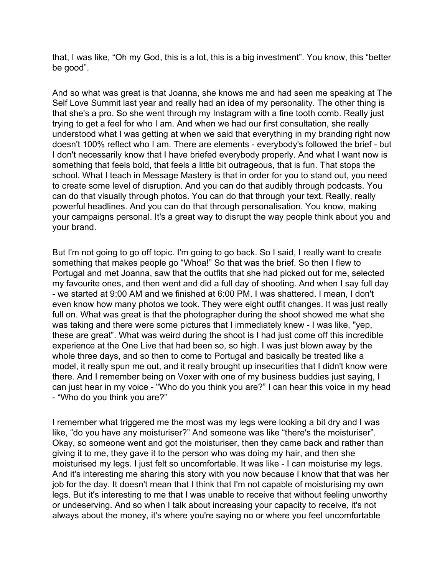that, I was like, "Oh my God, this is a lot, this is a big investment". You know, this "better be good".

And so what was great is that Joanna, she knows me and had seen me speaking at The Self Love Summit last year and really had an idea of my personality. The other thing is that she's a pro. So she went through my Instagram with a fine tooth comb. Really just trying to get a feel for who I am. And when we had our first consultation, she really understood what I was getting at when we said that everything in my branding right now doesn't 100% reflect who I am. There are elements - everybody's followed the brief - but I don't necessarily know that I have briefed everybody properly. And what I want now is something that feels bold, that feels a little bit outrageous, that is fun. That stops the school. What I teach in Message Mastery is that in order for you to stand out, you need to create some level of disruption. And you can do that audibly through podcasts. You can do that visually through photos. You can do that through your text. Really, really powerful headlines. And you can do that through personalisation. You know, making your campaigns personal. It's a great way to disrupt the way people think about you and your brand.

But I'm not going to go off topic. I'm going to go back. So I said, I really want to create something that makes people go "Whoa!" So that was the brief. So then I flew to Portugal and met Joanna, saw that the outfits that she had picked out for me, selected my favourite ones, and then went and did a full day of shooting. And when I say full day - we started at 9:00 AM and we finished at 6:00 PM. I was shattered. I mean, I don't even know how many photos we took. They were eight outfit changes. It was just really full on. What was great is that the photographer during the shoot showed me what she was taking and there were some pictures that I immediately knew - I was like, "yep, these are great". What was weird during the shoot is I had just come off this incredible experience at the One Live that had been so, so high. I was just blown away by the whole three days, and so then to come to Portugal and basically be treated like a model, it really spun me out, and it really brought up insecurities that I didn't know were there. And I remember being on Voxer with one of my business buddies just saying, I can just hear in my voice - "Who do you think you are?" I can hear this voice in my head - "Who do you think you are?"

I remember what triggered me the most was my legs were looking a bit dry and I was like, "do you have any moisturiser?" And someone was like "there's the moisturiser". Okay, so someone went and got the moisturiser, then they came back and rather than giving it to me, they gave it to the person who was doing my hair, and then she moisturised my legs. I just felt so uncomfortable. It was like - I can moisturise my legs. And it's interesting me sharing this story with you now because I know that that was her job for the day. It doesn't mean that I think that I'm not capable of moisturising my own legs. But it's interesting to me that I was unable to receive that without feeling unworthy or undeserving. And so when I talk about increasing your capacity to receive, it's not always about the money, it's where you're saying no or where you feel uncomfortable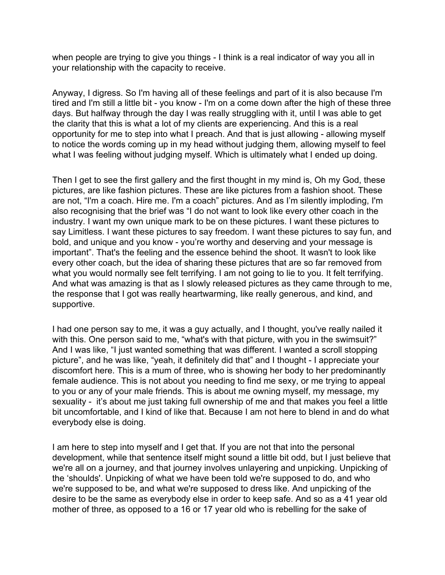when people are trying to give you things - I think is a real indicator of way you all in your relationship with the capacity to receive.

Anyway, I digress. So I'm having all of these feelings and part of it is also because I'm tired and I'm still a little bit - you know - I'm on a come down after the high of these three days. But halfway through the day I was really struggling with it, until I was able to get the clarity that this is what a lot of my clients are experiencing. And this is a real opportunity for me to step into what I preach. And that is just allowing - allowing myself to notice the words coming up in my head without judging them, allowing myself to feel what I was feeling without judging myself. Which is ultimately what I ended up doing.

Then I get to see the first gallery and the first thought in my mind is, Oh my God, these pictures, are like fashion pictures. These are like pictures from a fashion shoot. These are not, "I'm a coach. Hire me. I'm a coach" pictures. And as I'm silently imploding, I'm also recognising that the brief was "I do not want to look like every other coach in the industry. I want my own unique mark to be on these pictures. I want these pictures to say Limitless. I want these pictures to say freedom. I want these pictures to say fun, and bold, and unique and you know - you're worthy and deserving and your message is important". That's the feeling and the essence behind the shoot. It wasn't to look like every other coach, but the idea of sharing these pictures that are so far removed from what you would normally see felt terrifying. I am not going to lie to you. It felt terrifying. And what was amazing is that as I slowly released pictures as they came through to me, the response that I got was really heartwarming, like really generous, and kind, and supportive.

I had one person say to me, it was a guy actually, and I thought, you've really nailed it with this. One person said to me, "what's with that picture, with you in the swimsuit?" And I was like, "I just wanted something that was different. I wanted a scroll stopping picture", and he was like, "yeah, it definitely did that" and I thought - I appreciate your discomfort here. This is a mum of three, who is showing her body to her predominantly female audience. This is not about you needing to find me sexy, or me trying to appeal to you or any of your male friends. This is about me owning myself, my message, my sexuality - it's about me just taking full ownership of me and that makes you feel a little bit uncomfortable, and I kind of like that. Because I am not here to blend in and do what everybody else is doing.

I am here to step into myself and I get that. If you are not that into the personal development, while that sentence itself might sound a little bit odd, but I just believe that we're all on a journey, and that journey involves unlayering and unpicking. Unpicking of the 'shoulds'. Unpicking of what we have been told we're supposed to do, and who we're supposed to be, and what we're supposed to dress like. And unpicking of the desire to be the same as everybody else in order to keep safe. And so as a 41 year old mother of three, as opposed to a 16 or 17 year old who is rebelling for the sake of